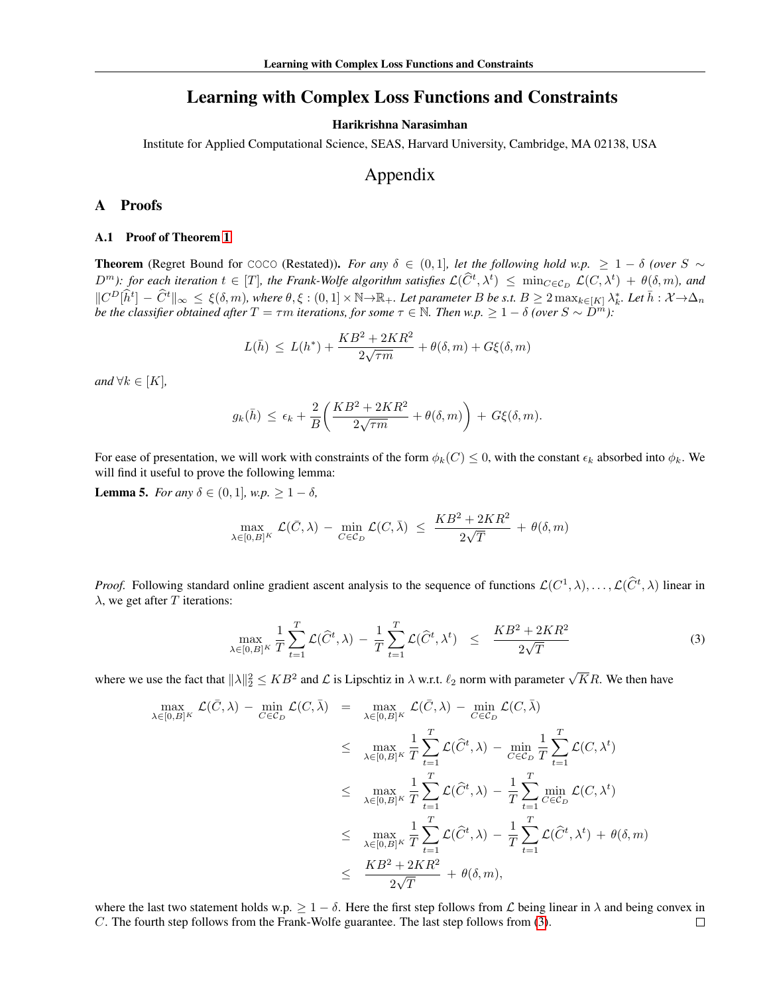# Learning with Complex Loss Functions and Constraints

### Harikrishna Narasimhan

Institute for Applied Computational Science, SEAS, Harvard University, Cambridge, MA 02138, USA

# Appendix

## A Proofs

#### A.1 Proof of Theorem 1

**Theorem** (Regret Bound for COCO (Restated)). *For any*  $\delta \in (0,1]$ *, let the following hold w.p.*  $\geq 1 - \delta$  *(over* S  $\sim$  $D^m$ ): for each iteration  $t \in [T]$ , the Frank-Wolfe algorithm satisfies  $\mathcal{L}(\hat{C}^t, \lambda^t) \leq \min_{C \in \mathcal{C}_D} \mathcal{L}(C, \lambda^t) + \theta(\delta, m)$ , and  $||C^D[\hat{h}^t] - \hat{C}^t||_{\infty} \leq \xi(\delta, m)$ , where  $\theta, \xi : (0, 1] \times \mathbb{N} \to \mathbb{R}_+$ . Let parameter B be s.t.  $B \geq 2 \max_{k \in [K]} \lambda_k^*$ . Let  $\bar{h} : \mathcal{X} \to \Delta_n$ *be the classifier obtained after*  $T = \tau m$  *iterations, for some*  $\tau \in \mathbb{N}$ . Then w.p.  $\geq 1 - \delta$  *(over*  $S \sim D^m$ ):

$$
L(\bar{h}) \le L(h^*) + \frac{KB^2 + 2KR^2}{2\sqrt{\tau m}} + \theta(\delta, m) + G\xi(\delta, m)
$$

*and*  $\forall k \in [K]$ *,* 

$$
g_k(\bar{h}) \le \epsilon_k + \frac{2}{B} \bigg( \frac{KB^2 + 2KR^2}{2\sqrt{\tau m}} + \theta(\delta, m) \bigg) + G\xi(\delta, m).
$$

For ease of presentation, we will work with constraints of the form  $\phi_k(C) \leq 0$ , with the constant  $\epsilon_k$  absorbed into  $\phi_k$ . We will find it useful to prove the following lemma:

<span id="page-0-1"></span>**Lemma 5.** *For any δ* ∈ (0, 1]*, w.p.* ≥ 1 − *δ,* 

$$
\max_{\lambda \in [0,B]^K} \mathcal{L}(\bar{C}, \lambda) - \min_{C \in \mathcal{C}_D} \mathcal{L}(C, \bar{\lambda}) \le \frac{KB^2 + 2KR^2}{2\sqrt{T}} + \theta(\delta, m)
$$

*Proof.* Following standard online gradient ascent analysis to the sequence of functions  $\mathcal{L}(C^1, \lambda), \ldots, \mathcal{L}(\widehat{C}^t, \lambda)$  linear in  $\lambda$ , we get after T iterations:

<span id="page-0-0"></span>
$$
\max_{\lambda \in [0,B]^K} \frac{1}{T} \sum_{t=1}^T \mathcal{L}(\widehat{C}^t, \lambda) - \frac{1}{T} \sum_{t=1}^T \mathcal{L}(\widehat{C}^t, \lambda^t) \le \frac{KB^2 + 2KR^2}{2\sqrt{T}}
$$
(3)

where we use the fact that  $\|\lambda\|_2^2 \le KB^2$  and  $\mathcal L$  is Lipschtiz in  $\lambda$  w.r.t.  $\ell_2$  norm with parameter  $\sqrt{K}R$ . We then have

$$
\max_{\lambda \in [0,B]^K} \mathcal{L}(\bar{C}, \lambda) - \min_{C \in \mathcal{C}_D} \mathcal{L}(C, \bar{\lambda}) = \max_{\lambda \in [0,B]^K} \mathcal{L}(\bar{C}, \lambda) - \min_{C \in \mathcal{C}_D} \mathcal{L}(C, \bar{\lambda})
$$
\n
$$
\leq \max_{\lambda \in [0,B]^K} \frac{1}{T} \sum_{t=1}^T \mathcal{L}(\hat{C}^t, \lambda) - \min_{C \in \mathcal{C}_D} \frac{1}{T} \sum_{t=1}^T \mathcal{L}(C, \lambda^t)
$$
\n
$$
\leq \max_{\lambda \in [0,B]^K} \frac{1}{T} \sum_{t=1}^T \mathcal{L}(\hat{C}^t, \lambda) - \frac{1}{T} \sum_{t=1}^T \min_{C \in \mathcal{C}_D} \mathcal{L}(C, \lambda^t)
$$
\n
$$
\leq \max_{\lambda \in [0,B]^K} \frac{1}{T} \sum_{t=1}^T \mathcal{L}(\hat{C}^t, \lambda) - \frac{1}{T} \sum_{t=1}^T \mathcal{L}(\hat{C}^t, \lambda^t) + \theta(\delta, m)
$$
\n
$$
\leq \frac{KB^2 + 2KR^2}{2\sqrt{T}} + \theta(\delta, m),
$$

where the last two statement holds w.p.  $\geq 1 - \delta$ . Here the first step follows from L being linear in  $\lambda$  and being convex in C. The fourth step follows from the Frank-Wolfe guarantee. The last step follows from [\(3\)](#page-0-0). $\Box$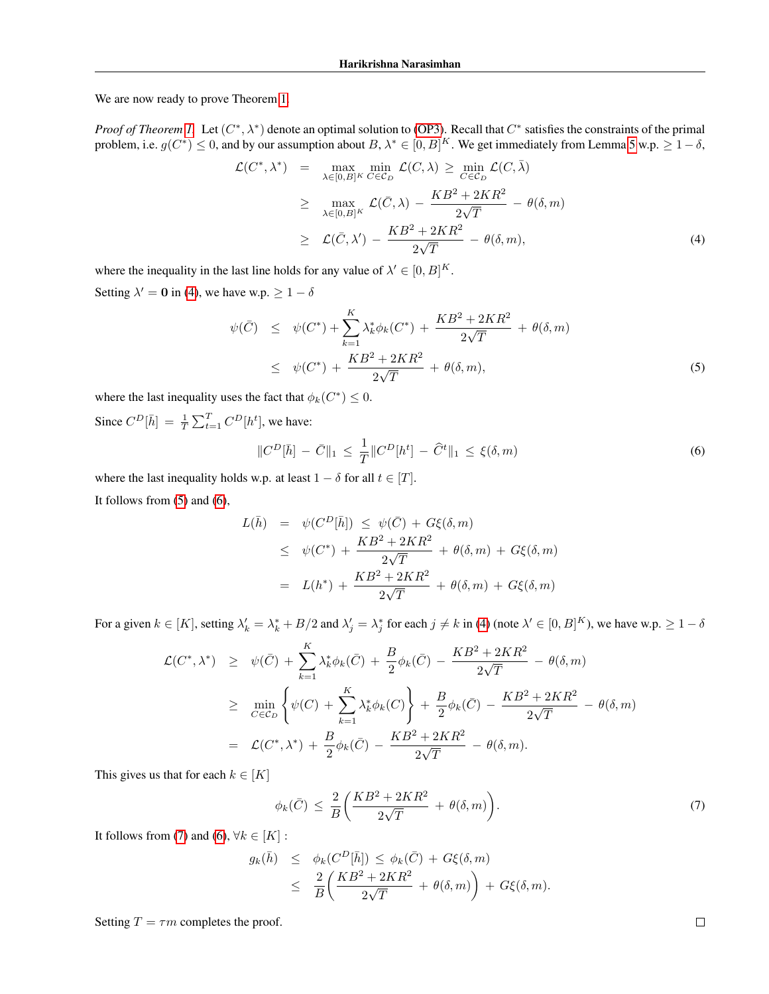We are now ready to prove Theorem 1.

*Proof of Theorem 1.* Let  $(C^*, \lambda^*)$  denote an optimal solution to (OP3). Recall that  $C^*$  satisfies the constraints of the primal problem, i.e.  $g(C^*) \leq 0$ , and by our assumption about  $B, \lambda^* \in [0, B]^K$ . We get immediately from Lemma [5](#page-0-1) w.p.  $\geq 1 - \delta$ ,

<span id="page-1-0"></span>
$$
\mathcal{L}(C^*, \lambda^*) = \max_{\lambda \in [0, B]^K} \min_{C \in C_D} \mathcal{L}(C, \lambda) \ge \min_{C \in C_D} \mathcal{L}(C, \overline{\lambda})
$$
\n
$$
\ge \max_{\lambda \in [0, B]^K} \mathcal{L}(\overline{C}, \lambda) - \frac{KB^2 + 2KR^2}{2\sqrt{T}} - \theta(\delta, m)
$$
\n
$$
\ge \mathcal{L}(\overline{C}, \lambda') - \frac{KB^2 + 2KR^2}{2\sqrt{T}} - \theta(\delta, m), \tag{4}
$$

where the inequality in the last line holds for any value of  $\lambda' \in [0, B]^K$ . Setting  $\lambda' = 0$  in [\(4\)](#page-1-0), we have w.p.  $\geq 1 - \delta$ 

<span id="page-1-1"></span>
$$
\psi(\bar{C}) \leq \psi(C^*) + \sum_{k=1}^K \lambda_k^* \phi_k(C^*) + \frac{KB^2 + 2KR^2}{2\sqrt{T}} + \theta(\delta, m)
$$
  

$$
\leq \psi(C^*) + \frac{KB^2 + 2KR^2}{2\sqrt{T}} + \theta(\delta, m),
$$
 (5)

where the last inequality uses the fact that  $\phi_k(C^*) \leq 0$ .

Since  $C^D[\bar{h}] = \frac{1}{T} \sum_{t=1}^T C^D[h^t]$ , we have:

<span id="page-1-2"></span>
$$
||C^D[\bar{h}] - \bar{C}||_1 \le \frac{1}{T}||C^D[h^t] - \hat{C}^t||_1 \le \xi(\delta, m)
$$
\n(6)

where the last inequality holds w.p. at least  $1 - \delta$  for all  $t \in [T]$ . It follows from [\(5\)](#page-1-1) and [\(6\)](#page-1-2),

$$
L(\bar{h}) = \psi(C^D[\bar{h}]) \leq \psi(\bar{C}) + G\xi(\delta, m)
$$
  
\n
$$
\leq \psi(C^*) + \frac{KB^2 + 2KR^2}{2\sqrt{T}} + \theta(\delta, m) + G\xi(\delta, m)
$$
  
\n
$$
= L(h^*) + \frac{KB^2 + 2KR^2}{2\sqrt{T}} + \theta(\delta, m) + G\xi(\delta, m)
$$

For a given  $k \in [K]$ , setting  $\lambda'_k = \lambda^*_k + B/2$  and  $\lambda'_j = \lambda^*_j$  for each  $j \neq k$  in [\(4\)](#page-1-0) (note  $\lambda' \in [0, B]^K$ ), we have w.p.  $\geq 1 - \delta$ 

$$
\mathcal{L}(C^*, \lambda^*) \geq \psi(\bar{C}) + \sum_{k=1}^K \lambda_k^* \phi_k(\bar{C}) + \frac{B}{2} \phi_k(\bar{C}) - \frac{KB^2 + 2KR^2}{2\sqrt{T}} - \theta(\delta, m)
$$
  
\n
$$
\geq \min_{C \in C_D} \left\{ \psi(C) + \sum_{k=1}^K \lambda_k^* \phi_k(C) \right\} + \frac{B}{2} \phi_k(\bar{C}) - \frac{KB^2 + 2KR^2}{2\sqrt{T}} - \theta(\delta, m)
$$
  
\n
$$
= \mathcal{L}(C^*, \lambda^*) + \frac{B}{2} \phi_k(\bar{C}) - \frac{KB^2 + 2KR^2}{2\sqrt{T}} - \theta(\delta, m).
$$

This gives us that for each  $k \in [K]$ 

<span id="page-1-3"></span>
$$
\phi_k(\bar{C}) \le \frac{2}{B} \left( \frac{KB^2 + 2KR^2}{2\sqrt{T}} + \theta(\delta, m) \right). \tag{7}
$$

It follows from [\(7\)](#page-1-3) and [\(6\)](#page-1-2),  $\forall k \in [K]$ :

$$
g_k(\bar{h}) \leq \phi_k(C^D[\bar{h}]) \leq \phi_k(\bar{C}) + G\xi(\delta, m)
$$
  

$$
\leq \frac{2}{B} \left( \frac{KB^2 + 2KR^2}{2\sqrt{T}} + \theta(\delta, m) \right) + G\xi(\delta, m).
$$

Setting  $T = \tau m$  completes the proof.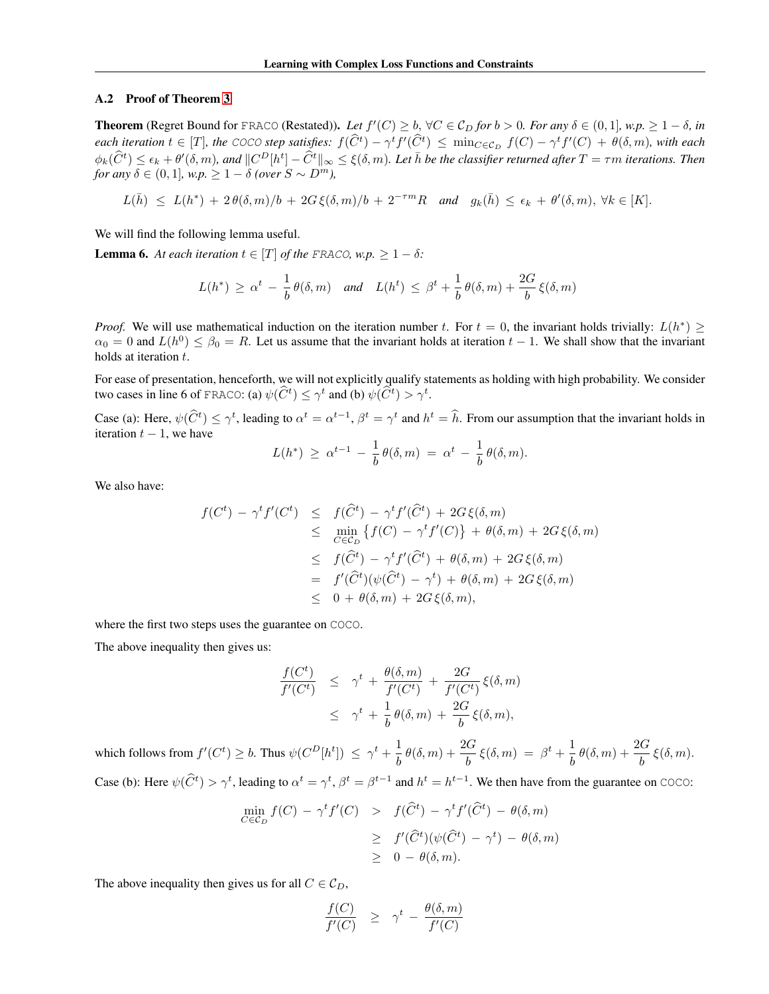#### A.2 Proof of Theorem 3

**Theorem** (Regret Bound for FRACO (Restated)). Let  $f'(C) \ge b$ ,  $\forall C \in C_D$  for  $b > 0$ . For any  $\delta \in (0, 1]$ , w.p.  $\ge 1 - \delta$ , in *each iteration*  $t \in [T]$ , the COCO step satisfies:  $f(\widehat{C}^t) - \gamma^t f'(\widehat{C}^t) \le \min_{C \in \mathcal{C}_D} f(C) - \gamma^t f'(C) + \theta(\delta, m)$ , with each  $\phi_k(\widehat{C}^t) \leq \epsilon_k + \theta'(\delta, m)$ , and  $||C^D[h^t] - \widehat{C}^t||_{\infty} \leq \xi(\delta, m)$ . Let  $\overline{h}$  be the classifier returned after  $T = \tau m$  iterations. Then *for any*  $\delta \in (0, 1]$ *, w.p.*  $\geq 1 - \delta$  *(over*  $S \sim D^m$ *)*,

$$
L(\bar{h}) \le L(h^*) + 2\theta(\delta, m)/b + 2G\,\xi(\delta, m)/b + 2^{-\tau m}R \quad \text{and} \quad g_k(\bar{h}) \le \epsilon_k + \theta'(\delta, m), \,\forall k \in [K].
$$

We will find the following lemma useful.

<span id="page-2-0"></span>**Lemma 6.** At each iteration  $t \in [T]$  of the FRACO, w.p.  $\geq 1 - \delta$ :

$$
L(h^*) \ge \alpha^t - \frac{1}{b} \theta(\delta, m)
$$
 and  $L(h^t) \le \beta^t + \frac{1}{b} \theta(\delta, m) + \frac{2G}{b} \xi(\delta, m)$ 

*Proof.* We will use mathematical induction on the iteration number t. For  $t = 0$ , the invariant holds trivially:  $L(h^*) \geq$  $\alpha_0 = 0$  and  $L(h^0) \le \beta_0 = R$ . Let us assume that the invariant holds at iteration  $t - 1$ . We shall show that the invariant holds at iteration t.

For ease of presentation, henceforth, we will not explicitly qualify statements as holding with high probability. We consider two cases in line 6 of FRACO: (a)  $\psi(\widehat{C}^t) \leq \gamma^t$  and (b)  $\psi(\widehat{C}^t) > \gamma^t$ .

Case (a): Here,  $\psi(\hat{C}^t) \leq \gamma^t$ , leading to  $\alpha^t = \alpha^{t-1}$ ,  $\beta^t = \gamma^t$  and  $h^t = \hat{h}$ . From our assumption that the invariant holds in iteration  $t - 1$ , we have

$$
L(h^*) \geq \alpha^{t-1} - \frac{1}{b} \theta(\delta, m) = \alpha^t - \frac{1}{b} \theta(\delta, m).
$$

We also have:

$$
f(C^t) - \gamma^t f'(C^t) \leq f(\widehat{C}^t) - \gamma^t f'(\widehat{C}^t) + 2G \xi(\delta, m)
$$
  
\n
$$
\leq \min_{C \in \mathcal{C}_D} \{ f(C) - \gamma^t f'(C) \} + \theta(\delta, m) + 2G \xi(\delta, m)
$$
  
\n
$$
\leq f(\widehat{C}^t) - \gamma^t f'(\widehat{C}^t) + \theta(\delta, m) + 2G \xi(\delta, m)
$$
  
\n
$$
= f'(\widehat{C}^t)(\psi(\widehat{C}^t) - \gamma^t) + \theta(\delta, m) + 2G \xi(\delta, m)
$$
  
\n
$$
\leq 0 + \theta(\delta, m) + 2G \xi(\delta, m),
$$

where the first two steps uses the guarantee on COCO.

The above inequality then gives us:

$$
\frac{f(C^t)}{f'(C^t)} \leq \gamma^t + \frac{\theta(\delta, m)}{f'(C^t)} + \frac{2G}{f'(C^t)} \xi(\delta, m)
$$
  

$$
\leq \gamma^t + \frac{1}{b} \theta(\delta, m) + \frac{2G}{b} \xi(\delta, m),
$$

which follows from  $f'(C^t) \geq b$ . Thus  $\psi(C^D[h^t]) \leq \gamma^t + \frac{1}{b}$  $\frac{1}{b} \theta(\delta, m) + \frac{2G}{b} \xi(\delta, m) = \beta^t + \frac{1}{b}$  $\frac{1}{b} \theta(\delta, m) + \frac{2G}{b} \xi(\delta, m).$ 

Case (b): Here  $\psi(\hat{C}^t) > \gamma^t$ , leading to  $\alpha^t = \gamma^t$ ,  $\beta^t = \beta^{t-1}$  and  $h^t = h^{t-1}$ . We then have from the guarantee on COCO:

$$
\min_{C \in \mathcal{C}_D} f(C) - \gamma^t f'(C) > f(\widehat{C}^t) - \gamma^t f'(\widehat{C}^t) - \theta(\delta, m) \\
&\geq f'(\widehat{C}^t)(\psi(\widehat{C}^t) - \gamma^t) - \theta(\delta, m) \\
&\geq 0 - \theta(\delta, m).
$$

The above inequality then gives us for all  $C \in \mathcal{C}_D$ ,

$$
\frac{f(C)}{f'(C)} \geq \gamma^t - \frac{\theta(\delta, m)}{f'(C)}
$$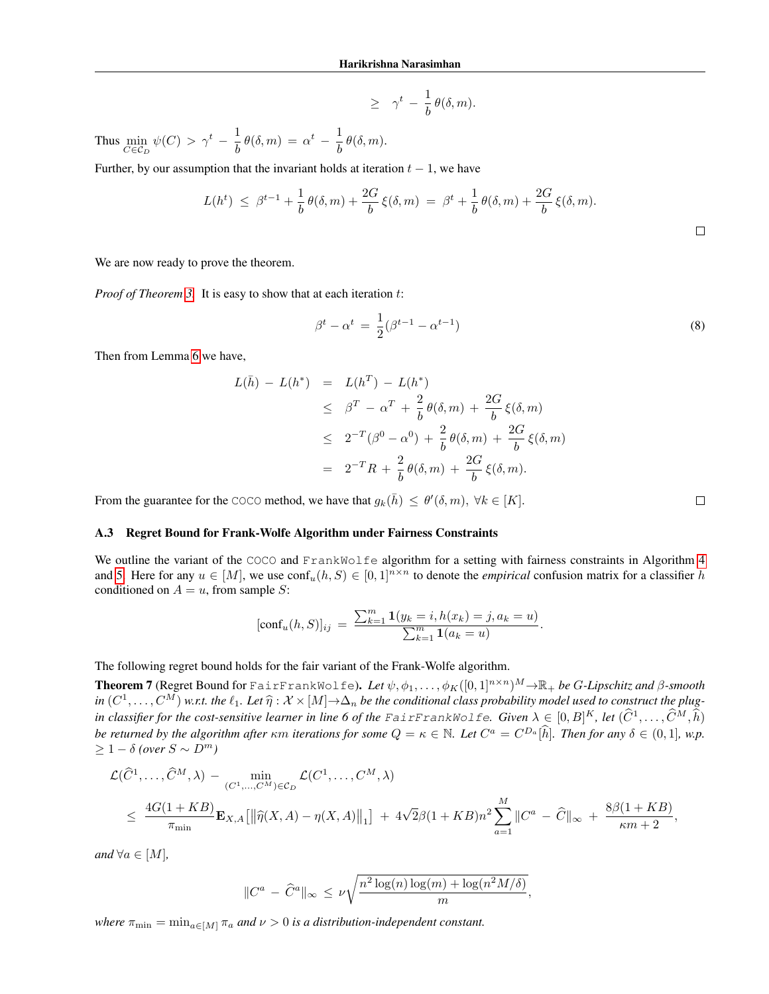$$
\geq \gamma^t - \frac{1}{b} \theta(\delta, m).
$$

Thus  $\min_{C \in \mathcal{C}_D} \psi(C) > \gamma^t - \frac{1}{b}$  $\frac{1}{b} \theta(\delta, m) = \alpha^t - \frac{1}{b}$  $\frac{1}{b} \theta(\delta, m).$ 

Further, by our assumption that the invariant holds at iteration  $t - 1$ , we have

$$
L(h^{t}) \leq \beta^{t-1} + \frac{1}{b} \theta(\delta, m) + \frac{2G}{b} \xi(\delta, m) = \beta^{t} + \frac{1}{b} \theta(\delta, m) + \frac{2G}{b} \xi(\delta, m).
$$

We are now ready to prove the theorem.

*Proof of Theorem 3.* It is easy to show that at each iteration t:

$$
\beta^{t} - \alpha^{t} = \frac{1}{2}(\beta^{t-1} - \alpha^{t-1})
$$
\n(8)

,

Then from Lemma [6](#page-2-0) we have,

$$
L(\bar{h}) - L(h^*) = L(h^T) - L(h^*)
$$
  
\n
$$
\leq \beta^T - \alpha^T + \frac{2}{b} \theta(\delta, m) + \frac{2G}{b} \xi(\delta, m)
$$
  
\n
$$
\leq 2^{-T} (\beta^0 - \alpha^0) + \frac{2}{b} \theta(\delta, m) + \frac{2G}{b} \xi(\delta, m)
$$
  
\n
$$
= 2^{-T} R + \frac{2}{b} \theta(\delta, m) + \frac{2G}{b} \xi(\delta, m).
$$

From the guarantee for the COCO method, we have that  $g_k(\bar{h}) \leq \theta'(\delta, m)$ ,  $\forall k \in [K]$ .

### A.3 Regret Bound for Frank-Wolfe Algorithm under Fairness Constraints

We outline the variant of the COCO and FrankWolfe algorithm for a setting with fairness constraints in Algorithm [4](#page-4-0) and [5.](#page-4-1) Here for any  $u \in [M]$ , we use  $\text{conf}_u(h, S) \in [0, 1]^{n \times n}$  to denote the *empirical* confusion matrix for a classifier h conditioned on  $A = u$ , from sample S:

$$
[\text{conf}_u(h, S)]_{ij} = \frac{\sum_{k=1}^m \mathbf{1}(y_k = i, h(x_k) = j, a_k = u)}{\sum_{k=1}^m \mathbf{1}(a_k = u)}.
$$

The following regret bound holds for the fair variant of the Frank-Wolfe algorithm.

<span id="page-3-0"></span>**Theorem 7** (Regret Bound for FairFrankWolfe). Let  $\psi, \phi_1, \ldots, \phi_K([0,1]^{n \times n})^M \to \mathbb{R}_+$  be *G-Lipschitz and*  $\beta$ -smooth *in*  $(C^1, \ldots, C^M)$  *w.r.t. the*  $\ell_1$ *. Let*  $\widehat{\eta}: \mathcal{X} \times [M] \rightarrow \Delta_n$  *be the conditional class probability model used to construct the plug-*<br>in classification for the sent equation learned the fact the Factor Present *in classifier for the cost-sensitive learner in line 6 of the FairFrankWolfe. Given*  $\lambda \in [0,B]^K$ , let  $(\widehat{C}^1,\ldots,\widehat{C}^M,\widehat{h})$ *be returned by the algorithm after*  $\kappa m$  *iterations for some*  $Q = \kappa \in \mathbb{N}$ *. Let*  $C^a = C^{D_a}[\hat{h}]$ *. Then for any*  $\delta \in (0,1]$ *, w.p.*  $> 1 - δ$  *(over*  $S \sim D<sup>m</sup>$ )

$$
\mathcal{L}(\widehat{C}^1, ..., \widehat{C}^M, \lambda) - \min_{(C^1, ..., C^M) \in \mathcal{C}_D} \mathcal{L}(C^1, ..., C^M, \lambda)
$$
\n
$$
\leq \frac{4G(1+KB)}{\pi_{\min}} \mathbf{E}_{X,A} [\|\widehat{\eta}(X,A) - \eta(X,A)\|_1] + 4\sqrt{2}\beta(1+KB)n^2 \sum_{a=1}^M \|C^a - \widehat{C}\|_{\infty} + \frac{8\beta(1+KB)}{\kappa m + 2},
$$

*and*  $\forall a \in [M]$ *,* 

$$
||C^a - \hat{C}^a||_{\infty} \le \nu \sqrt{\frac{n^2 \log(n) \log(m) + \log(n^2 M/\delta)}{m}}
$$

*where*  $\pi_{\min} = \min_{a \in [M]} \pi_a$  *and*  $\nu > 0$  *is a distribution-independent constant.*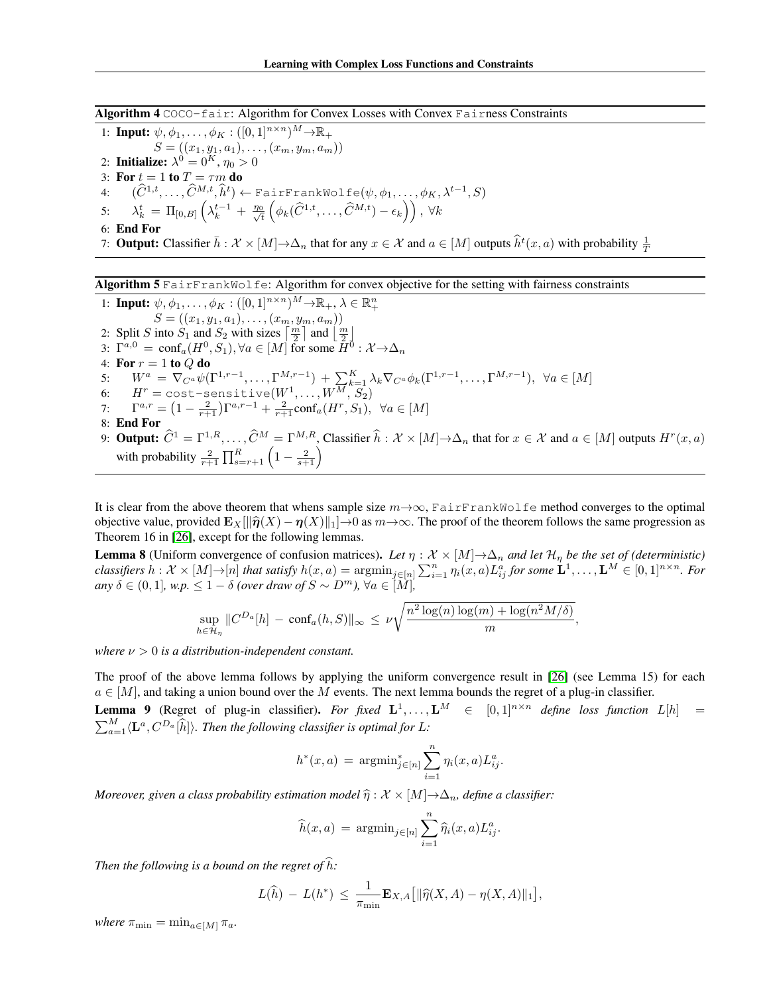<span id="page-4-0"></span>Algorithm 4 COCO-fair: Algorithm for Convex Losses with Convex Fairness Constraints

1: **Input:**  $\psi, \phi_1, \ldots, \phi_K: ([0, 1]^{n \times n})^M \rightarrow \mathbb{R}_+$  $S = ((x_1, y_1, a_1), \ldots, (x_m, y_m, a_m))$ 2: Initialize:  $\lambda^0 = 0^K$ ,  $\eta_0 > 0$ 3: For  $t = 1$  to  $T = \tau m$  do 4:  $(\widehat{C}^{1,t},\ldots,\widehat{C}^{M,t},\widehat{h}^t) \leftarrow$  FairFrankWolfe $(\psi,\phi_1,\ldots,\phi_K,\lambda^{t-1},S)$ 5:  $\lambda_k^t = \Pi_{[0,B]} \left( \lambda_k^{t-1} + \frac{\eta_0}{\sqrt{t}} \right)$  $\frac{1}{\tilde{t}} \left(\phi_k(\widehat{C}^{1,t},\ldots,\widehat{C}^{M,t})-\epsilon_k\right)\right),\ \forall k$ 6: End For 7: **Output:** Classifier  $\bar{h}: \mathcal{X} \times [M] \to \Delta_n$  that for any  $x \in \mathcal{X}$  and  $a \in [M]$  outputs  $\hat{h}^t(x, a)$  with probability  $\frac{1}{T}$ 

#### <span id="page-4-1"></span>Algorithm 5 FairFrankWolfe: Algorithm for convex objective for the setting with fairness constraints

1: **Input:**  $\psi, \phi_1, \ldots, \phi_K: ([0,1]^{n \times n})^M \to \mathbb{R}_+, \lambda \in \mathbb{R}_+^n$  $S = ((x_1, y_1, a_1), \ldots, (x_m, y_m, a_m))$ 2: Split S into  $S_1$  and  $S_2$  with sizes  $\left\lceil \frac{m}{2} \right\rceil$  and  $\left\lfloor \frac{m}{2} \right\rfloor$ 3:  $\Gamma^{a,0} = \text{conf}_a(H^0, S_1), \forall a \in [M]$  for some  $\overline{H}^{\overline{0}} : \mathcal{X} \rightarrow \Delta_n$ 4: For  $r = 1$  to  $Q$  do 5:  $W^a = \nabla_{C^a} \psi(\Gamma^{1,r-1}, \dots, \Gamma^{M,r-1}) + \sum_{k=1}^K \lambda_k \nabla_{C^a} \phi_k(\Gamma^{1,r-1}, \dots, \Gamma^{M,r-1}), \ \forall a \in [M]$ 6:  $H^r = \text{cost-sensitive}(W^1, \dots, W^M, S_2)$ 7:  $\Gamma^{a,r} = \left(1 - \frac{2}{r+1}\right) \Gamma^{a,r-1} + \frac{2}{r+1} \text{conf}_a(H^r, S_1), \ \forall a \in [M]$ 8: End For 9: **Output:**  $\widehat{C}^1 = \Gamma^{1,R}, \ldots, \widehat{C}^M = \Gamma^{M,R}$ , Classifier  $\widehat{h} : \mathcal{X} \times [M] \to \Delta_n$  that for  $x \in \mathcal{X}$  and  $a \in [M]$  outputs  $H^r(x, a)$ with probability  $\frac{2}{r+1} \prod_{s=r+1}^{R} \left(1 - \frac{2}{s+1}\right)$ 

It is clear from the above theorem that whens sample size  $m \rightarrow \infty$ , FairFrankWolfe method converges to the optimal objective value, provided  $\mathbf{E}_X[\|\hat{\boldsymbol{\eta}}(X) - \boldsymbol{\eta}(X)\|_1] \to 0$  as  $m \to \infty$ . The proof of the theorem follows the same progression as Theorem 16 in [26], except for the following lemmas.

<span id="page-4-3"></span>**Lemma 8** (Uniform convergence of confusion matrices). Let  $\eta : \mathcal{X} \times [M] \to \Delta_n$  and let  $\mathcal{H}_n$  be the set of (deterministic)  $classifiers \ h: \mathcal{X} \times [M] \rightarrow [n]$  that satisfy  $h(x,a) = \text{argmin}_{j \in [n]} \sum_{i=1}^n \eta_i(x,a) L_{ij}^a$  for some  $\mathbf{L}^1, \ldots, \mathbf{L}^M \in [0,1]^{n \times n}$ . For  $a_n \delta \in (0,1]$ , w.p.  $\leq 1 - \delta$  *(over draw of*  $S \sim D^m$ ),  $\forall a \in [\overline{M}]$ 

,

$$
\sup_{h \in \mathcal{H}_{\eta}} \|C^{D_a}[h] - \mathrm{conf}_a(h, S)\|_{\infty} \le \nu \sqrt{\frac{n^2 \log(n) \log(m) + \log(n^2 M/\delta)}{m}}
$$

*where*  $\nu > 0$  *is a distribution-independent constant.* 

The proof of the above lemma follows by applying the uniform convergence result in [26] (see Lemma 15) for each  $a \in [M]$ , and taking a union bound over the M events. The next lemma bounds the regret of a plug-in classifier.

<span id="page-4-2"></span>**Lemma 9** (Regret of plug-in classifier). For fixed  $\mathbf{L}^1, \ldots, \mathbf{L}^M \in [0,1]^{n \times n}$  define loss function  $L[h] =$  $\sum_{a=1}^{M} \langle \mathbf{L}^a, C^{D_a}[\hat{h}] \rangle$ *. Then the following classifier is optimal for* L:

$$
h^*(x, a) = \operatorname{argmin}_{j \in [n]} \sum_{i=1}^n \eta_i(x, a) L_{ij}^a.
$$

*Moreover, given a class probability estimation model*  $\hat{\eta}$  :  $\mathcal{X} \times [M] \rightarrow \Delta_n$ , define a classifier:

$$
\widehat{h}(x,a) \, = \, \mathop{\rm argmin}_{j \in [n]} \sum_{i=1}^{n} \widehat{\eta}_i(x,a) L_{ij}^a.
$$

*Then the following is a bound on the regret of*  $\hat{h}$ *:* 

$$
L(\widehat{h}) - L(h^*) \leq \frac{1}{\pi_{\min}} \mathbf{E}_{X,A} [ \|\widehat{\eta}(X,A) - \eta(X,A)\|_1 ],
$$

*where*  $\pi_{\min} = \min_{a \in [M]} \pi_a$ .